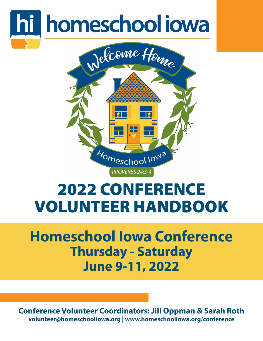



## 2022 CONFERENCE VOLUNTEER HANDBOOK

## **Homeschool Iowa Conference Thursday - Saturday June 9-11, 2022**

**Conference Volunteer Coordinators: Jill Oppman & Sarah Roth volunteer@homeschooliowa.org | www.homeschooliowa.org/conference**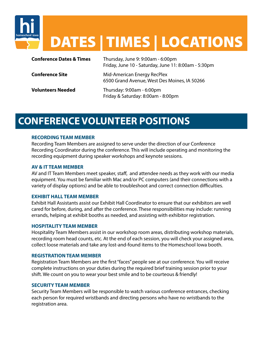# DATES | TIMES | LOCATIONS

| <b>Conference Dates &amp; Times</b> | Thursday, June 9: 9:00am - 6:00pm<br>Friday, June 10 - Saturday, June 11: 8:00am - 5:30pm |
|-------------------------------------|-------------------------------------------------------------------------------------------|
| <b>Conference Site</b>              | Mid-American Energy RecPlex<br>6500 Grand Avenue, West Des Moines, IA 50266               |
| <b>Volunteers Needed</b>            | Thursday: 9:00am - 6:00pm<br>Friday & Saturday: 8:00am - 8:00pm                           |

### **CONFERENCE VOLUNTEER POSITIONS**

### **RECORDING TEAM MEMBER**

Recording Team Members are assigned to serve under the direction of our Conference Recording Coordinator during the conference. This will include operating and monitoring the recording equipment during speaker workshops and keynote sessions.

### **AV & IT TEAM MEMBER**

his de la proposación de la proposación de la proposación de la proposación de la proposación de la proposación de la proposación de la proposación de la proposación de la proposación de la proposación de la proposación de

AV and IT Team Members meet speaker, staff, and attendee needs as they work with our media equipment. You must be familiar with Mac and/or PC computers (and their connections with a variety of display options) and be able to troubleshoot and correct connection difficulties.

### **EXHIBIT HALL TEAM MEMBER**

Exhibit Hall Assistants assist our Exhibit Hall Coordinator to ensure that our exhibitors are well cared for before, during, and after the conference. These responsibilities may include: running errands, helping at exhibit booths as needed, and assisting with exhibitor registration.

#### **HOSPITALITY TEAM MEMBER**

Hospitality Team Members assist in our workshop room areas, distributing workshop materials, recording room head counts, etc. At the end of each session, you will check your assigned area, collect loose materials and take any lost-and-found items to the Homeschool Iowa booth.

### **REGISTRATION TEAM MEMBER**

Registration Team Members are the first "faces" people see at our conference. You will receive complete instructions on your duties during the required brief training session prior to your shift. We count on you to wear your best smile and to be courteous & friendly!

### **SECURITY TEAM MEMBER**

Security Team Members will be responsible to watch various conference entrances, checking each person for required wristbands and directing persons who have no wristbands to the registration area.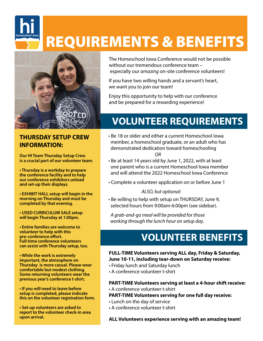## **REQUIREMENTS & BENEFITS**



his de la proposa de la proposa de la proposa de la proposa de la proposa de la proposa de la proposa de la proposa de la proposa de la proposa de la proposa de la proposa de la proposa de la proposa de la proposa de la pr

### **THURSDAY SETUP CREW INFORMATION:**

**Our HI Team Thursday Setup Crew is a crucial part of our volunteer team.**

**• Thursday is a workday to prepare the conference facility and to help our conference exhibitors unload and set-up their displays.**

**• EXHIBIT HALL setup will begin in the morning on Thursday and must be completed by that evening.**

**• USED CURRICULUM SALE setup will begin Thursday at 1:00pm.**

**• Entire families are welcome to volunteer to help with this pre-conference effort. Full-time conference volunteers can assist with Thursday setup, too.**

**• While the work is extremely important, the atmosphere on Thursday is more casual. Please wear comfortable but modest clothing. Some returning volunteers wear the previous year's conference t-shirt.** 

**• If you will need to leave before setup is completed, please indicate this on the volunteer registration form.**

**• Set-up volunteers are asked to report to the volunteer check-in area upon arrival.**

The Homeschool Iowa Conference would not be possible without our tremendous conference team – especially our *amazing* on-site conference volunteers!

If you have two willing hands and a servant's heart, we want you to join our team!

Enjoy this opportunity to help with our conference and be prepared for a rewarding experience!

### **VOLUNTEER REQUIREMENTS**

- Be 18 or older and either a current Homeschool Iowa member, a homeschool graduate, or an adult who has demonstrated dedication toward homeschooling *OR*
- Be at least 14 years old by June 1, 2022, with at least one parent who is a current Homeschool Iowa member and will attend the 2022 Homeschool Iowa Conference
- Complete a volunteer application on or before June 1

### *ALSO, but optional:*

• Be willing to help with setup on THURSDAY, June 9, selected hours from 9:00am-6:00pm (see sidebar).

 *A grab-and-go meal will be provided for those working through the lunch hour on setup day.*

### **VOLUNTEER BENEFITS**

### **FULL-TIME Volunteers serving ALL day, Friday & Saturday, June 10-11, including tear-down on Saturday receive:**

- Friday lunch and Saturday lunch
- A conference volunteer t-shirt

**PART-TIME Volunteers serving at least a 4-hour shift receive:**

• A conference volunteer t-shirt

### **PART-TIME Volunteers serving for one full day receive:**

- Lunch on the day of service
- A conference volunteer t-shirt

### **ALL Volunteers experience serving with an amazing team!**